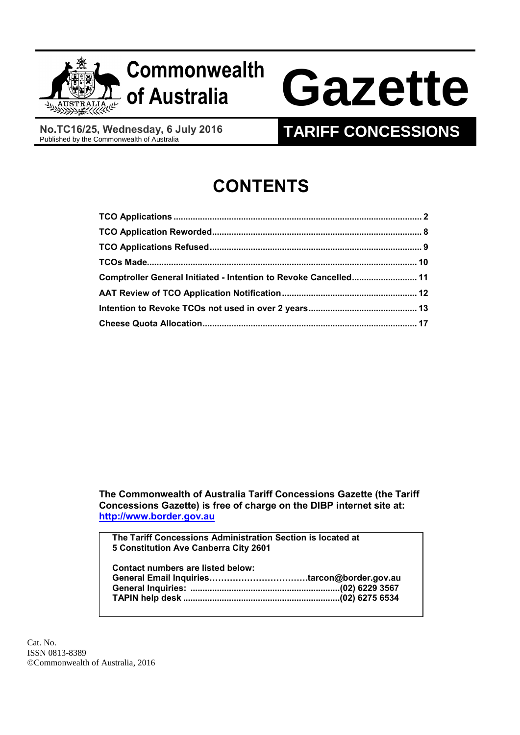

# **Commonwealth**

# **of Australia Gazette**

**No.TC16/25, Wednesday, 6 July 2016**

# **TARIFF CONCESSIONS**

# **CONTENTS**

| Comptroller General Initiated - Intention to Revoke Cancelled 11 |  |
|------------------------------------------------------------------|--|
|                                                                  |  |
|                                                                  |  |
|                                                                  |  |

**The Commonwealth of Australia Tariff Concessions Gazette (the Tariff Concessions Gazette) is free of charge on the DIBP internet site at: [http://www.border.gov.au](http://www.border.gov.au/)**

**The Tariff Concessions Administration Section is located at 5 Constitution Ave Canberra City 2601**

| Contact numbers are listed below: |  |
|-----------------------------------|--|
|                                   |  |
|                                   |  |
|                                   |  |

Cat. No. ISSN 0813-8389 ©Commonwealth of Australia, 2016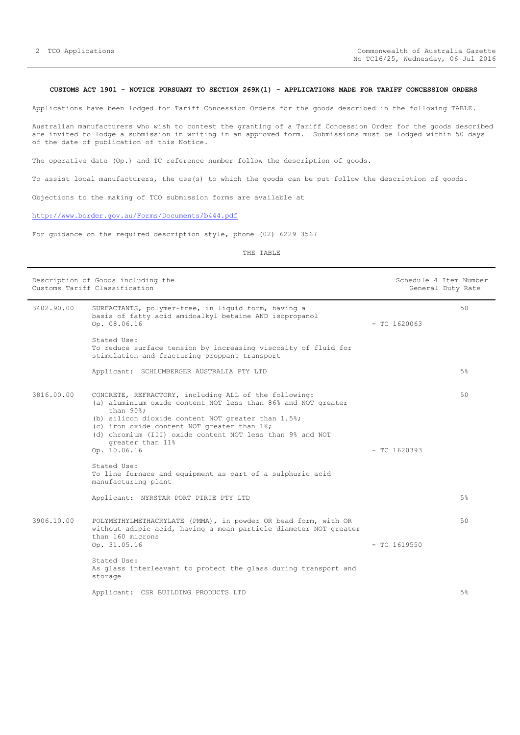## <span id="page-1-0"></span>**CUSTOMS ACT 1901 - NOTICE PURSUANT TO SECTION 269K(1) - APPLICATIONS MADE FOR TARIFF CONCESSION ORDERS**

Applications have been lodged for Tariff Concession Orders for the goods described in the following TABLE.

Australian manufacturers who wish to contest the granting of a Tariff Concession Order for the goods described are invited to lodge a submission in writing in an approved form. Submissions must be lodged within 50 days of the date of publication of this Notice.

The operative date (Op.) and TC reference number follow the description of goods.

To assist local manufacturers, the use(s) to which the goods can be put follow the description of goods.

Objections to the making of TCO submission forms are available at

# <http://www.border.gov.au/Forms/Documents/b444.pdf>

For guidance on the required description style, phone (02) 6229 3567

THE TABLE

| Description of Goods including the<br>Customs Tariff Classification |                                                                                                                                                                                                                                                                                                                                           | Schedule 4 Item Number<br>General Duty Rate |                |       |
|---------------------------------------------------------------------|-------------------------------------------------------------------------------------------------------------------------------------------------------------------------------------------------------------------------------------------------------------------------------------------------------------------------------------------|---------------------------------------------|----------------|-------|
| 3402.90.00                                                          | SURFACTANTS, polymer-free, in liquid form, having a<br>basis of fatty acid amidoalkyl betaine AND isopropanol<br>Op. 08.06.16                                                                                                                                                                                                             |                                             | $-$ TC 1620063 | 50    |
|                                                                     | Stated Use:<br>To reduce surface tension by increasing viscosity of fluid for<br>stimulation and fracturing proppant transport                                                                                                                                                                                                            |                                             |                |       |
|                                                                     | Applicant: SCHLUMBERGER AUSTRALIA PTY LTD                                                                                                                                                                                                                                                                                                 |                                             |                | $5\%$ |
| 3816.00.00                                                          | CONCRETE, REFRACTORY, including ALL of the following:<br>(a) aluminium oxide content NOT less than 86% and NOT greater<br>than 90%;<br>(b) silicon dioxide content NOT greater than 1.5%;<br>(c) iron oxide content NOT greater than 1%;<br>(d) chromium (III) oxide content NOT less than 9% and NOT<br>greater than 11%<br>Op. 10.06.16 |                                             | $-$ TC 1620393 | 50    |
|                                                                     | Stated Use:<br>To line furnace and equipment as part of a sulphuric acid<br>manufacturing plant                                                                                                                                                                                                                                           |                                             |                |       |
|                                                                     | Applicant: NYRSTAR PORT PIRIE PTY LTD                                                                                                                                                                                                                                                                                                     |                                             |                | 5%    |
| 3906.10.00                                                          | POLYMETHYLMETHACRYLATE (PMMA), in powder OR bead form, with OR<br>without adipic acid, having a mean particle diameter NOT greater<br>than 160 microns<br>Op. 31.05.16                                                                                                                                                                    |                                             | $-$ TC 1619550 | 50    |
|                                                                     | Stated Use:<br>As glass interleavant to protect the glass during transport and<br>storage                                                                                                                                                                                                                                                 |                                             |                |       |
|                                                                     | Applicant: CSR BUILDING PRODUCTS LTD                                                                                                                                                                                                                                                                                                      |                                             |                | 5%    |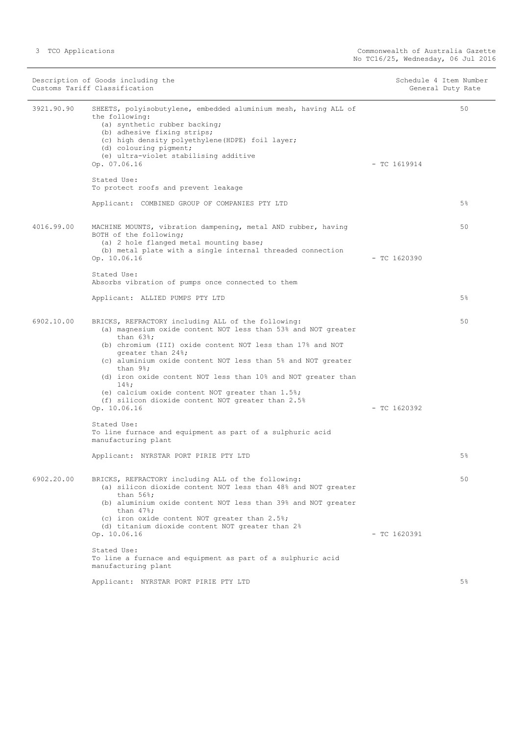Description of Goods including the Schedule 4 Item Number<br>
Customs Tariff Classification<br>
Schedule 4 Item Number Customs Tariff Classification 3921.90.90 SHEETS, polyisobutylene, embedded aluminium mesh, having ALL of the following: (a) synthetic rubber backing; (b) adhesive fixing strips; (c) high density polyethylene(HDPE) foil layer; (d) colouring pigment; (e) ultra-violet stabilising additive Op. 07.06.16 - TC 1619914 Stated Use: To protect roofs and prevent leakage Applicant: COMBINED GROUP OF COMPANIES PTY LTD 50 5% 4016.99.00 MACHINE MOUNTS, vibration dampening, metal AND rubber, having BOTH of the following; (a) 2 hole flanged metal mounting base; (b) metal plate with a single internal threaded connection Op. 10.06.16 - TC 1620390 Stated Use: Absorbs vibration of pumps once connected to them Applicant: ALLIED PUMPS PTY LTD 50 5% 6902.10.00 BRICKS, REFRACTORY including ALL of the following: (a) magnesium oxide content NOT less than 53% and NOT greater than 63%; (b) chromium (III) oxide content NOT less than 17% and NOT greater than 24%; (c) aluminium oxide content NOT less than 5% and NOT greater than 9%; (d) iron oxide content NOT less than 10% and NOT greater than 14%; (e) calcium oxide content NOT greater than 1.5%; (f) silicon dioxide content NOT greater than 2.5% Op. 10.06.16 - TC 1620392 Stated Use: To line furnace and equipment as part of a sulphuric acid manufacturing plant Applicant: NYRSTAR PORT PIRIE PTY LTD 50 5% 6902.20.00 BRICKS, REFRACTORY including ALL of the following: (a) silicon dioxide content NOT less than 48% and NOT greater than 56%; (b) aluminium oxide content NOT less than 39% and NOT greater than 47%; (c) iron oxide content NOT greater than 2.5%; (d) titanium dioxide content NOT greater than 2% Op. 10.06.16 - TC 1620391 Stated Use: To line a furnace and equipment as part of a sulphuric acid manufacturing plant Applicant: NYRSTAR PORT PIRIE PTY LTD 50 5%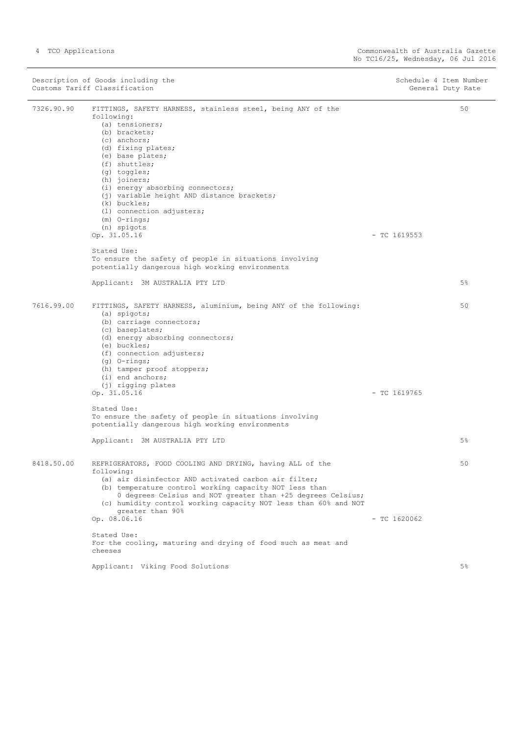|            | Description of Goods including the<br>Customs Tariff Classification                                                                                                                                                                                                                                                                                                                                                                                                                                                                                                     |                | Schedule 4 Item Number<br>General Duty Rate |
|------------|-------------------------------------------------------------------------------------------------------------------------------------------------------------------------------------------------------------------------------------------------------------------------------------------------------------------------------------------------------------------------------------------------------------------------------------------------------------------------------------------------------------------------------------------------------------------------|----------------|---------------------------------------------|
| 7326.90.90 | FITTINGS, SAFETY HARNESS, stainless steel, being ANY of the<br>following:<br>(a) tensioners;<br>(b) brackets;<br>(c) anchors;<br>(d) fixing plates;<br>(e) base plates;<br>(f) shuttles;<br>(q) toggles;<br>(h) joiners;<br>(i) energy absorbing connectors;<br>(j) variable height AND distance brackets;<br>(k) buckles;<br>(1) connection adjusters;<br>$(m)$ O-rings;<br>(n) spigots<br>Op. 31.05.16<br>Stated Use:<br>To ensure the safety of people in situations involving<br>potentially dangerous high working environments<br>Applicant: 3M AUSTRALIA PTY LTD | $-$ TC 1619553 | 50<br>$5\%$                                 |
| 7616.99.00 | FITTINGS, SAFETY HARNESS, aluminium, being ANY of the following:<br>(a) spigots;<br>(b) carriage connectors;<br>(c) baseplates;<br>(d) energy absorbing connectors;<br>(e) buckles;<br>(f) connection adjusters;<br>$(q)$ O-rings;<br>(h) tamper proof stoppers;<br>$(i)$ end anchors;<br>(j) rigging plates<br>Op. 31.05.16<br>Stated Use:<br>To ensure the safety of people in situations involving<br>potentially dangerous high working environments<br>Applicant: 3M AUSTRALIA PTY LTD                                                                             | $-$ TC 1619765 | 50<br>$5\%$                                 |
| 8418.50.00 | REFRIGERATORS, FOOD COOLING AND DRYING, having ALL of the<br>following:<br>(a) air disinfector AND activated carbon air filter;<br>(b) temperature control working capacity NOT less than<br>0 degrees Celsius and NOT greater than +25 degrees Celsius;<br>(c) humidity control working capacity NOT less than 60% and NOT<br>greater than 90%<br>Op. 08.06.16<br>Stated Use:<br>For the cooling, maturing and drying of food such as meat and<br>cheeses                                                                                                              | $-$ TC 1620062 | 50                                          |
|            | Applicant: Viking Food Solutions                                                                                                                                                                                                                                                                                                                                                                                                                                                                                                                                        |                | 5%                                          |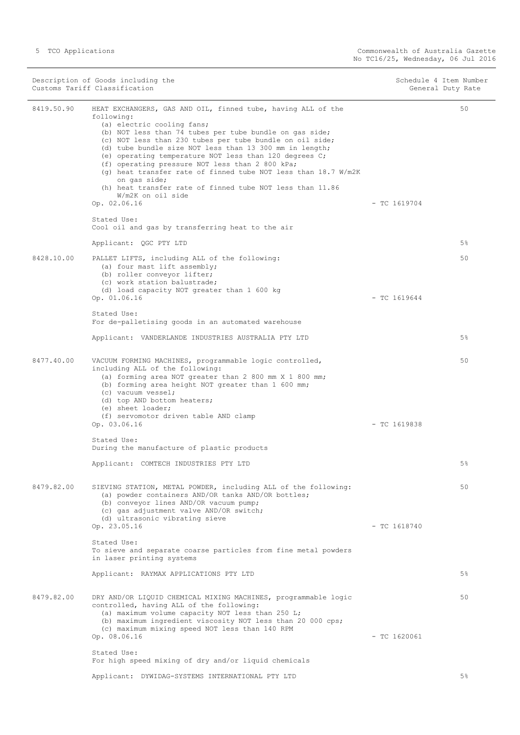|            | Description of Goods including the<br>Customs Tariff Classification                                                                                                                                                                                                                                                                                                                                                                                                                                                                                                                         | Schedule 4 Item Number | General Duty Rate |
|------------|---------------------------------------------------------------------------------------------------------------------------------------------------------------------------------------------------------------------------------------------------------------------------------------------------------------------------------------------------------------------------------------------------------------------------------------------------------------------------------------------------------------------------------------------------------------------------------------------|------------------------|-------------------|
| 8419.50.90 | HEAT EXCHANGERS, GAS AND OIL, finned tube, having ALL of the<br>following:<br>(a) electric cooling fans;<br>(b) NOT less than 74 tubes per tube bundle on gas side;<br>(c) NOT less than 230 tubes per tube bundle on oil side;<br>(d) tube bundle size NOT less than 13 300 mm in length;<br>(e) operating temperature NOT less than 120 degrees C;<br>(f) operating pressure NOT less than 2 800 kPa;<br>(g) heat transfer rate of finned tube NOT less than 18.7 W/m2K<br>on gas side;<br>(h) heat transfer rate of finned tube NOT less than 11.86<br>W/m2K on oil side<br>Op. 02.06.16 | $-$ TC 1619704         | 50                |
|            | Stated Use:<br>Cool oil and gas by transferring heat to the air                                                                                                                                                                                                                                                                                                                                                                                                                                                                                                                             |                        |                   |
|            | Applicant: QGC PTY LTD                                                                                                                                                                                                                                                                                                                                                                                                                                                                                                                                                                      |                        | $5\%$             |
| 8428.10.00 | PALLET LIFTS, including ALL of the following:<br>(a) four mast lift assembly;<br>(b) roller conveyor lifter;<br>(c) work station balustrade;<br>(d) load capacity NOT greater than 1 600 kg<br>Op. 01.06.16                                                                                                                                                                                                                                                                                                                                                                                 | $-$ TC 1619644         | 50                |
|            | Stated Use:                                                                                                                                                                                                                                                                                                                                                                                                                                                                                                                                                                                 |                        |                   |
|            | For de-palletising goods in an automated warehouse                                                                                                                                                                                                                                                                                                                                                                                                                                                                                                                                          |                        |                   |
|            | Applicant: VANDERLANDE INDUSTRIES AUSTRALIA PTY LTD                                                                                                                                                                                                                                                                                                                                                                                                                                                                                                                                         |                        | $5\%$             |
| 8477.40.00 | VACUUM FORMING MACHINES, programmable logic controlled,<br>including ALL of the following:<br>(a) forming area NOT greater than 2 800 mm X 1 800 mm;<br>(b) forming area height NOT greater than 1 600 mm;<br>(c) vacuum vessel;<br>(d) top AND bottom heaters;<br>(e) sheet loader;<br>(f) servomotor driven table AND clamp                                                                                                                                                                                                                                                               |                        | 50                |
|            | Op. 03.06.16                                                                                                                                                                                                                                                                                                                                                                                                                                                                                                                                                                                | $-$ TC 1619838         |                   |
|            | Stated Use:<br>During the manufacture of plastic products                                                                                                                                                                                                                                                                                                                                                                                                                                                                                                                                   |                        |                   |
|            | Applicant: COMTECH INDUSTRIES PTY LTD                                                                                                                                                                                                                                                                                                                                                                                                                                                                                                                                                       |                        | $5\%$             |
| 8479.82.00 | SIEVING STATION, METAL POWDER, including ALL of the following:<br>(a) powder containers AND/OR tanks AND/OR bottles;<br>(b) conveyor lines AND/OR vacuum pump;<br>(c) gas adjustment valve AND/OR switch;<br>(d) ultrasonic vibrating sieve                                                                                                                                                                                                                                                                                                                                                 |                        | 50                |
|            | Op. 23.05.16                                                                                                                                                                                                                                                                                                                                                                                                                                                                                                                                                                                | $-$ TC 1618740         |                   |
|            | Stated Use:<br>To sieve and separate coarse particles from fine metal powders<br>in laser printing systems                                                                                                                                                                                                                                                                                                                                                                                                                                                                                  |                        |                   |
|            | Applicant: RAYMAX APPLICATIONS PTY LTD                                                                                                                                                                                                                                                                                                                                                                                                                                                                                                                                                      |                        | $5\%$             |
| 8479.82.00 | DRY AND/OR LIQUID CHEMICAL MIXING MACHINES, programmable logic<br>controlled, having ALL of the following:<br>(a) maximum volume capacity NOT less than 250 L;<br>(b) maximum ingredient viscosity NOT less than 20 000 cps;<br>(c) maximum mixing speed NOT less than 140 RPM<br>Op. 08.06.16                                                                                                                                                                                                                                                                                              | $-$ TC 1620061         | 50                |
|            | Stated Use:<br>For high speed mixing of dry and/or liquid chemicals                                                                                                                                                                                                                                                                                                                                                                                                                                                                                                                         |                        |                   |
|            | Applicant: DYWIDAG-SYSTEMS INTERNATIONAL PTY LTD                                                                                                                                                                                                                                                                                                                                                                                                                                                                                                                                            |                        | 5%                |
|            |                                                                                                                                                                                                                                                                                                                                                                                                                                                                                                                                                                                             |                        |                   |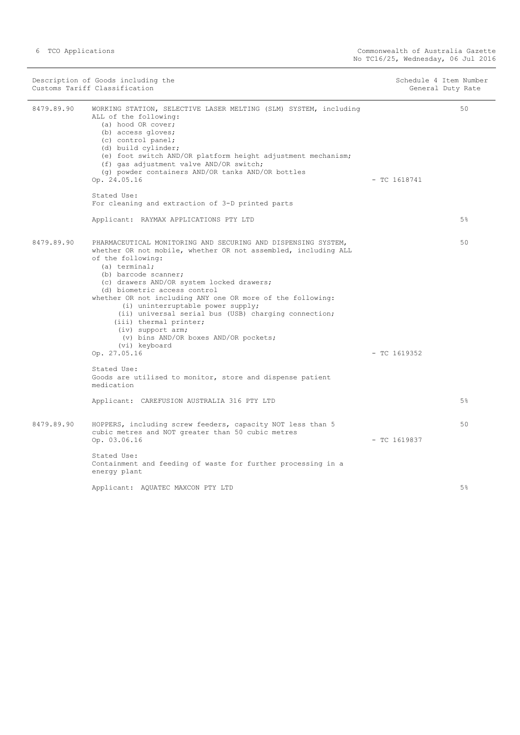| Description of Goods including the<br>Customs Tariff Classification |                                                                                                                                                                                                                                                                                                                                                                                                                                                                                                                                                | Schedule 4 Item Number<br>General Duty Rate |
|---------------------------------------------------------------------|------------------------------------------------------------------------------------------------------------------------------------------------------------------------------------------------------------------------------------------------------------------------------------------------------------------------------------------------------------------------------------------------------------------------------------------------------------------------------------------------------------------------------------------------|---------------------------------------------|
| 8479.89.90                                                          | WORKING STATION, SELECTIVE LASER MELTING (SLM) SYSTEM, including<br>ALL of the following:<br>(a) hood OR cover;<br>(b) access gloves;<br>(c) control panel;<br>(d) build cylinder;<br>(e) foot switch AND/OR platform height adjustment mechanism;<br>(f) gas adjustment valve AND/OR switch;<br>(q) powder containers AND/OR tanks AND/OR bottles<br>Op. 24.05.16<br>Stated Use:<br>For cleaning and extraction of 3-D printed parts                                                                                                          | 50<br>$-$ TC 1618741                        |
|                                                                     | Applicant: RAYMAX APPLICATIONS PTY LTD                                                                                                                                                                                                                                                                                                                                                                                                                                                                                                         | 5%                                          |
| 8479.89.90                                                          | PHARMACEUTICAL MONITORING AND SECURING AND DISPENSING SYSTEM,<br>whether OR not mobile, whether OR not assembled, including ALL<br>of the following:<br>(a) terminal;<br>(b) barcode scanner;<br>(c) drawers AND/OR system locked drawers;<br>(d) biometric access control<br>whether OR not including ANY one OR more of the following:<br>(i) uninterruptable power supply;<br>(ii) universal serial bus (USB) charging connection;<br>(iii) thermal printer;<br>(iv) support arm;<br>(v) bins AND/OR boxes AND/OR pockets;<br>(vi) keyboard | 50                                          |
|                                                                     | Op. 27.05.16                                                                                                                                                                                                                                                                                                                                                                                                                                                                                                                                   | $-$ TC 1619352                              |
|                                                                     | Stated Use:<br>Goods are utilised to monitor, store and dispense patient<br>medication                                                                                                                                                                                                                                                                                                                                                                                                                                                         |                                             |
|                                                                     | Applicant: CAREFUSION AUSTRALIA 316 PTY LTD                                                                                                                                                                                                                                                                                                                                                                                                                                                                                                    | 5%                                          |
| 8479.89.90                                                          | HOPPERS, including screw feeders, capacity NOT less than 5<br>cubic metres and NOT greater than 50 cubic metres<br>Op. 03.06.16<br>Stated Use:<br>Containment and feeding of waste for further processing in a                                                                                                                                                                                                                                                                                                                                 | 50<br>$-$ TC 1619837                        |
|                                                                     | energy plant                                                                                                                                                                                                                                                                                                                                                                                                                                                                                                                                   |                                             |
|                                                                     | Applicant: AQUATEC MAXCON PTY LTD                                                                                                                                                                                                                                                                                                                                                                                                                                                                                                              | 5%                                          |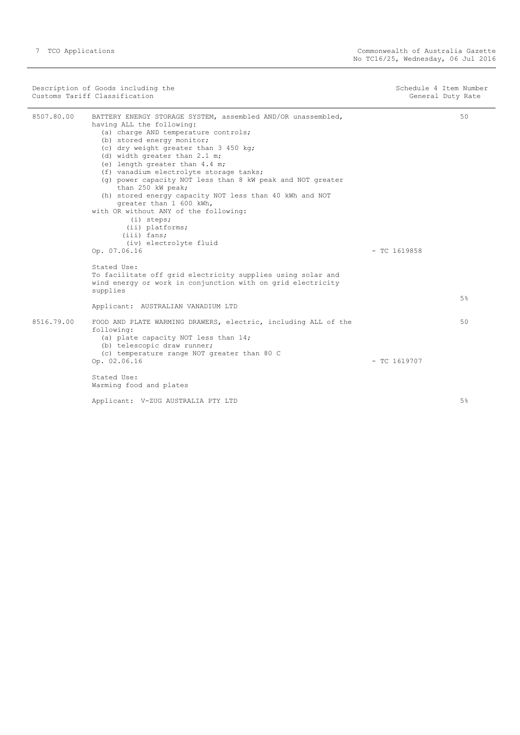÷,

| Description of Goods including the<br>Customs Tariff Classification |                                                                                                                                                                                                                                                                                                                                                                                                                                                                                                                                                                                                                        |                | Schedule 4 Item Number<br>General Duty Rate |
|---------------------------------------------------------------------|------------------------------------------------------------------------------------------------------------------------------------------------------------------------------------------------------------------------------------------------------------------------------------------------------------------------------------------------------------------------------------------------------------------------------------------------------------------------------------------------------------------------------------------------------------------------------------------------------------------------|----------------|---------------------------------------------|
| 8507.80.00                                                          | BATTERY ENERGY STORAGE SYSTEM, assembled AND/OR unassembled,<br>having ALL the following:<br>(a) charge AND temperature controls;<br>(b) stored energy monitor;<br>(c) dry weight greater than 3 450 kg;<br>(d) width greater than 2.1 m;<br>(e) length greater than 4.4 m;<br>(f) vanadium electrolyte storage tanks;<br>(g) power capacity NOT less than 8 kW peak and NOT greater<br>than 250 kW peak;<br>(h) stored energy capacity NOT less than 40 kWh and NOT<br>greater than 1 600 kWh,<br>with OR without ANY of the following:<br>$(i)$ steps;<br>(ii) platforms;<br>$(iii)$ fans;<br>(iv) electrolyte fluid |                | 50                                          |
|                                                                     | Op. 07.06.16<br>Stated Use:<br>To facilitate off grid electricity supplies using solar and<br>wind energy or work in conjunction with on grid electricity                                                                                                                                                                                                                                                                                                                                                                                                                                                              | $-$ TC 1619858 |                                             |
|                                                                     | supplies                                                                                                                                                                                                                                                                                                                                                                                                                                                                                                                                                                                                               |                | 5%                                          |
|                                                                     | Applicant: AUSTRALIAN VANADIUM LTD                                                                                                                                                                                                                                                                                                                                                                                                                                                                                                                                                                                     |                |                                             |
| 8516.79.00                                                          | FOOD AND PLATE WARMING DRAWERS, electric, including ALL of the<br>following:<br>(a) plate capacity NOT less than 14;<br>(b) telescopic draw runner;<br>(c) temperature range NOT greater than 80 C                                                                                                                                                                                                                                                                                                                                                                                                                     |                | 50                                          |
|                                                                     | Op. 02.06.16                                                                                                                                                                                                                                                                                                                                                                                                                                                                                                                                                                                                           | $-$ TC 1619707 |                                             |
|                                                                     | Stated Use:<br>Warming food and plates                                                                                                                                                                                                                                                                                                                                                                                                                                                                                                                                                                                 |                |                                             |
|                                                                     | Applicant: V-ZUG AUSTRALIA PTY LTD                                                                                                                                                                                                                                                                                                                                                                                                                                                                                                                                                                                     |                | 5%                                          |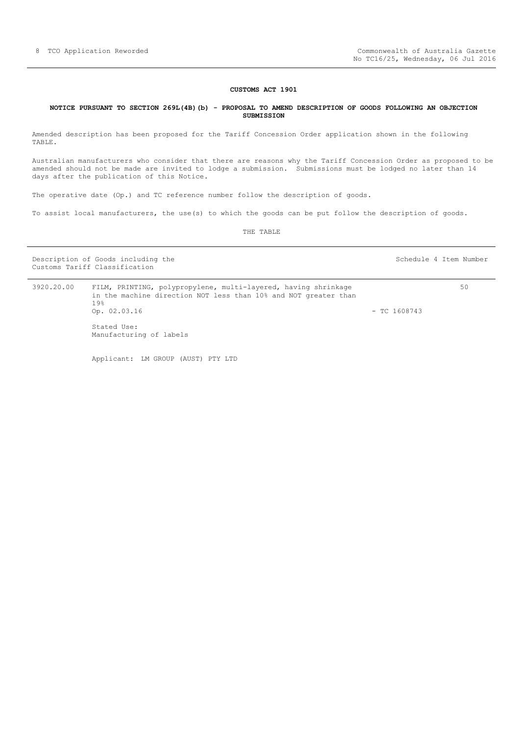#### **CUSTOMS ACT 1901**

#### <span id="page-7-0"></span>**NOTICE PURSUANT TO SECTION 269L(4B)(b) - PROPOSAL TO AMEND DESCRIPTION OF GOODS FOLLOWING AN OBJECTION SUBMISSION**

Amended description has been proposed for the Tariff Concession Order application shown in the following TABLE.

Australian manufacturers who consider that there are reasons why the Tariff Concession Order as proposed to be amended should not be made are invited to lodge a submission. Submissions must be lodged no later than 14 days after the publication of this Notice.

The operative date (Op.) and TC reference number follow the description of goods.

To assist local manufacturers, the use(s) to which the goods can be put follow the description of goods.

THE TABLE

Description of Goods including the Schedule 4 Item Number Schedule 4 Item Number Customs Tariff Classification

| 3920.20.00 | FILM, PRINTING, polypropylene, multi-layered, having shrinkage<br>in the machine direction NOT less than 10% and NOT greater than<br>19% |                | 50 |
|------------|------------------------------------------------------------------------------------------------------------------------------------------|----------------|----|
|            | Op. 02.03.16                                                                                                                             | $-$ TC 1608743 |    |
|            | Stated Use:<br>Manufacturing of labels                                                                                                   |                |    |

Applicant: LM GROUP (AUST) PTY LTD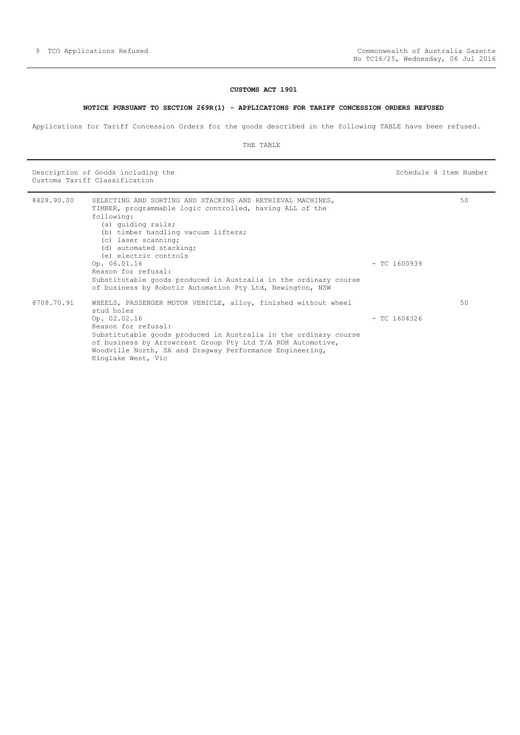## **CUSTOMS ACT 1901**

## **NOTICE PURSUANT TO SECTION 269R(1) - APPLICATIONS FOR TARIFF CONCESSION ORDERS REFUSED**

<span id="page-8-0"></span>Applications for Tariff Concession Orders for the goods described in the following TABLE have been refused.

THE TABLE

Description of Goods including the Schedule 4 Item Number (Schedule 4 Item Number Customs Tariff Classification

| 8428.90.00 | SELECTING AND SORTING AND STACKING AND RETRIEVAL MACHINES,<br>TIMBER, programmable logic controlled, having ALL of the<br>following:<br>(a) quiding rails;<br>(b) timber handling vacuum lifters;<br>(c) laser scanning;<br>(d) automated stacking;<br>(e) electric controls                                                             |                | 50 |
|------------|------------------------------------------------------------------------------------------------------------------------------------------------------------------------------------------------------------------------------------------------------------------------------------------------------------------------------------------|----------------|----|
|            | Op. 06.01.16<br>Reason for refusal:<br>Substitutable goods produced in Australia in the ordinary course<br>of business by Robotic Automation Pty Ltd, Newington, NSW                                                                                                                                                                     | $-$ TC 1600939 |    |
| 8708.70.91 | WHEELS, PASSENGER MOTOR VEHICLE, alloy, finished without wheel<br>stud holes<br>Op. 02.02.16<br>Reason for refusal:<br>Substitutable goods produced in Australia in the ordinary course<br>of business by Arrowcrest Group Pty Ltd T/A ROH Automotive,<br>Woodville North, SA and Dragway Performance Engineering,<br>Kinglake West, Vic | $-$ TC 1604326 | 50 |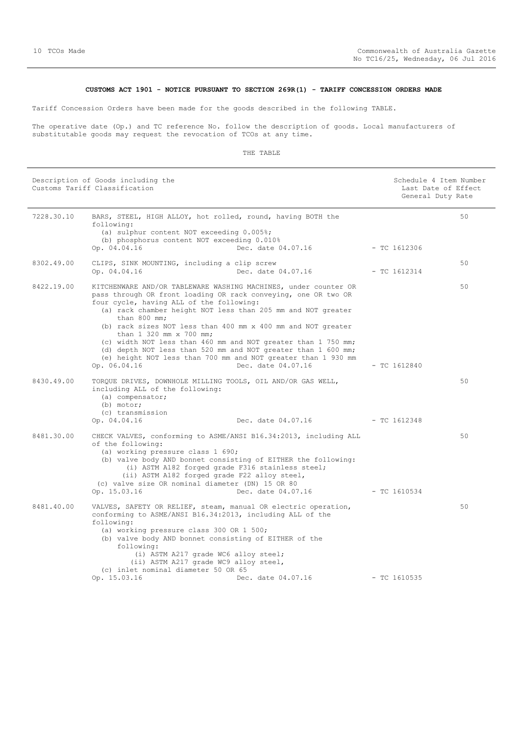# **CUSTOMS ACT 1901 - NOTICE PURSUANT TO SECTION 269R(1) - TARIFF CONCESSION ORDERS MADE**

<span id="page-9-0"></span>Tariff Concession Orders have been made for the goods described in the following TABLE.

The operative date (Op.) and TC reference No. follow the description of goods. Local manufacturers of substitutable goods may request the revocation of TCOs at any time.

|            | Description of Goods including the<br>Customs Tariff Classification                                                                                                                                                                                                                                                                                                                                                                                                                                                                                                           |                                 |                | Schedule 4 Item Number<br>Last Date of Effect<br>General Duty Rate |
|------------|-------------------------------------------------------------------------------------------------------------------------------------------------------------------------------------------------------------------------------------------------------------------------------------------------------------------------------------------------------------------------------------------------------------------------------------------------------------------------------------------------------------------------------------------------------------------------------|---------------------------------|----------------|--------------------------------------------------------------------|
| 7228.30.10 | BARS, STEEL, HIGH ALLOY, hot rolled, round, having BOTH the<br>following:<br>(a) sulphur content NOT exceeding 0.005%;<br>(b) phosphorus content NOT exceeding 0.010%<br>Op. 04.04.16                                                                                                                                                                                                                                                                                                                                                                                         | Dec. date 04.07.16              | $-$ TC 1612306 | 50                                                                 |
| 8302.49.00 | CLIPS, SINK MOUNTING, including a clip screw<br>Op. 04.04.16                                                                                                                                                                                                                                                                                                                                                                                                                                                                                                                  | Dec. date 04.07.16              | $-TC1612314$   | 50                                                                 |
| 8422.19.00 | KITCHENWARE AND/OR TABLEWARE WASHING MACHINES, under counter OR<br>pass through OR front loading OR rack conveying, one OR two OR<br>four cycle, having ALL of the following:<br>(a) rack chamber height NOT less than 205 mm and NOT greater<br>than $800$ mm;<br>(b) rack sizes NOT less than 400 mm x 400 mm and NOT greater<br>than 1 320 mm x 700 mm;<br>(c) width NOT less than 460 mm and NOT greater than 1 750 mm;<br>(d) depth NOT less than 520 mm and NOT greater than 1 600 mm;<br>(e) height NOT less than 700 mm and NOT greater than 1 930 mm<br>Op. 06.04.16 | Dec. date 04.07.16              | $-$ TC 1612840 | 50                                                                 |
| 8430.49.00 | TORQUE DRIVES, DOWNHOLE MILLING TOOLS, OIL AND/OR GAS WELL,<br>including ALL of the following:<br>(a) compensator;<br>(b) motor;<br>(c) transmission<br>Op. 04.04.16                                                                                                                                                                                                                                                                                                                                                                                                          | Dec. date 04.07.16 - TC 1612348 |                | 50                                                                 |
| 8481.30.00 | CHECK VALVES, conforming to ASME/ANSI B16.34:2013, including ALL<br>of the following:<br>(a) working pressure class 1 690;<br>(b) valve body AND bonnet consisting of EITHER the following:<br>(i) ASTM A182 forged grade F316 stainless steel;<br>(ii) ASTM A182 forged grade F22 alloy steel,<br>(c) valve size OR nominal diameter (DN) 15 OR 80<br>Op. 15.03.16                                                                                                                                                                                                           | Dec. date 04.07.16 - TC 1610534 |                | 50                                                                 |
| 8481.40.00 | VALVES, SAFETY OR RELIEF, steam, manual OR electric operation,<br>conforming to ASME/ANSI B16.34:2013, including ALL of the<br>following:<br>(a) working pressure class 300 OR 1 500;<br>(b) valve body AND bonnet consisting of EITHER of the<br>following:<br>(i) ASTM A217 grade WC6 alloy steel;<br>(ii) ASTM A217 grade WC9 alloy steel,<br>(c) inlet nominal diameter 50 OR 65<br>Op. 15.03.16                                                                                                                                                                          | Dec. date 04.07.16              | $-$ TC 1610535 | 50                                                                 |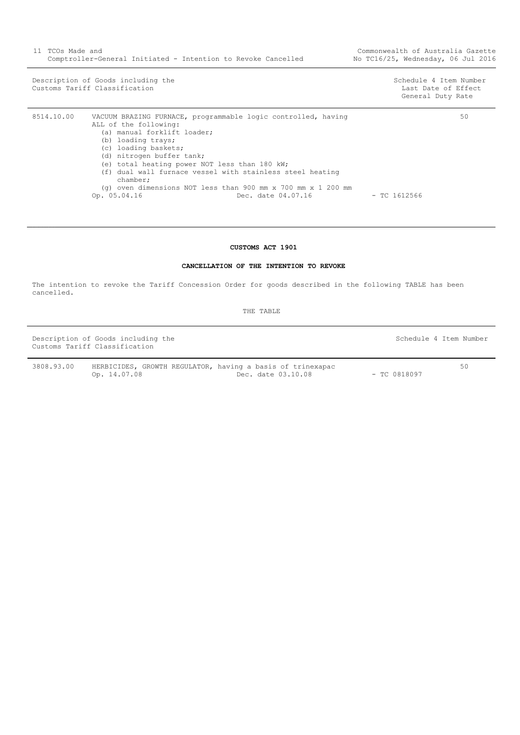Description of Goods including the Schedule 4 Item Number<br>
Customs Tariff Classification<br>
Schedule 4 Item Number<br>
Schedule 4 Item Number Customs Tariff Classification

General Duty Rate

| 8514.10.00 | VACUUM BRAZING FURNACE, programmable logic controlled, having    |                | 50 |
|------------|------------------------------------------------------------------|----------------|----|
|            | ALL of the following:                                            |                |    |
|            | (a) manual forklift loader;                                      |                |    |
|            | (b) loading trays;                                               |                |    |
|            | (c) loading baskets;                                             |                |    |
|            | (d) nitrogen buffer tank;                                        |                |    |
|            | (e) total heating power NOT less than 180 kW;                    |                |    |
|            | (f) dual wall furnace vessel with stainless steel heating        |                |    |
|            | chamber;                                                         |                |    |
|            | (q) oven dimensions NOT less than 900 mm $x$ 700 mm $x$ 1 200 mm |                |    |
|            | Op. 05.04.16<br>Dec. date 04.07.16                               | $-$ TC 1612566 |    |

# **CUSTOMS ACT 1901**

## **CANCELLATION OF THE INTENTION TO REVOKE**

<span id="page-10-0"></span>The intention to revoke the Tariff Concession Order for goods described in the following TABLE has been cancelled.

THE TABLE

Description of Goods including the Schedule 4 Item Number Customs Tariff Classification

50

3808.93.00 HERBICIDES, GROWTH REGULATOR, having a basis of trinexapac Op. 14.07.08 Dec. date 03.10.08 - TC 0818097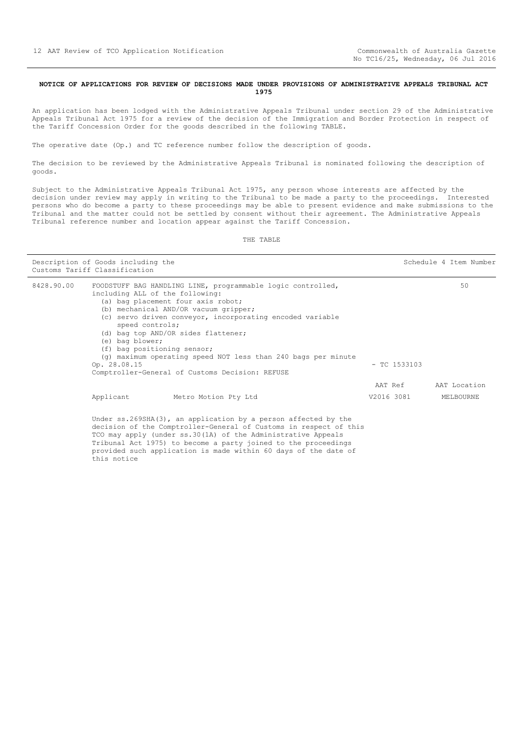#### <span id="page-11-0"></span>**NOTICE OF APPLICATIONS FOR REVIEW OF DECISIONS MADE UNDER PROVISIONS OF ADMINISTRATIVE APPEALS TRIBUNAL ACT 1975**

An application has been lodged with the Administrative Appeals Tribunal under section 29 of the Administrative Appeals Tribunal Act 1975 for a review of the decision of the Immigration and Border Protection in respect of the Tariff Concession Order for the goods described in the following TABLE.

The operative date (Op.) and TC reference number follow the description of goods.

The decision to be reviewed by the Administrative Appeals Tribunal is nominated following the description of goods.

Subject to the Administrative Appeals Tribunal Act 1975, any person whose interests are affected by the decision under review may apply in writing to the Tribunal to be made a party to the proceedings. Interested persons who do become a party to these proceedings may be able to present evidence and make submissions to the Tribunal and the matter could not be settled by consent without their agreement. The Administrative Appeals Tribunal reference number and location appear against the Tariff Concession.

THE TABLE

|            | Description of Goods including the<br>Customs Tariff Classification                                                                                                                                                                                                                                                                                                                                                                                                                          |                                                                                                                                                                                                                                                                                                                                             | Schedule 4 Item Number |                           |
|------------|----------------------------------------------------------------------------------------------------------------------------------------------------------------------------------------------------------------------------------------------------------------------------------------------------------------------------------------------------------------------------------------------------------------------------------------------------------------------------------------------|---------------------------------------------------------------------------------------------------------------------------------------------------------------------------------------------------------------------------------------------------------------------------------------------------------------------------------------------|------------------------|---------------------------|
| 8428.90.00 | FOODSTUFF BAG HANDLING LINE, programmable logic controlled,<br>including ALL of the following:<br>(a) bag placement four axis robot;<br>(b) mechanical AND/OR vacuum gripper;<br>(c) servo driven conveyor, incorporating encoded variable<br>speed controls;<br>(d) bag top AND/OR sides flattener;<br>(e) bag blower;<br>(f) bag positioning sensor;<br>$(q)$ maximum operating speed NOT less than 240 bags per minute<br>Op. 28.08.15<br>Comptroller-General of Customs Decision: REFUSE |                                                                                                                                                                                                                                                                                                                                             | $-$ TC 1533103         | 50                        |
|            | Applicant                                                                                                                                                                                                                                                                                                                                                                                                                                                                                    | Metro Motion Pty Ltd                                                                                                                                                                                                                                                                                                                        | AAT Ref<br>V2016 3081  | AAT Location<br>MELBOURNE |
|            | this notice                                                                                                                                                                                                                                                                                                                                                                                                                                                                                  | Under $ss.269SHA(3)$ , an application by a person affected by the<br>decision of the Comptroller-General of Customs in respect of this<br>TCO may apply (under ss.30(1A) of the Administrative Appeals<br>Tribunal Act 1975) to become a party joined to the proceedings<br>provided such application is made within 60 days of the date of |                        |                           |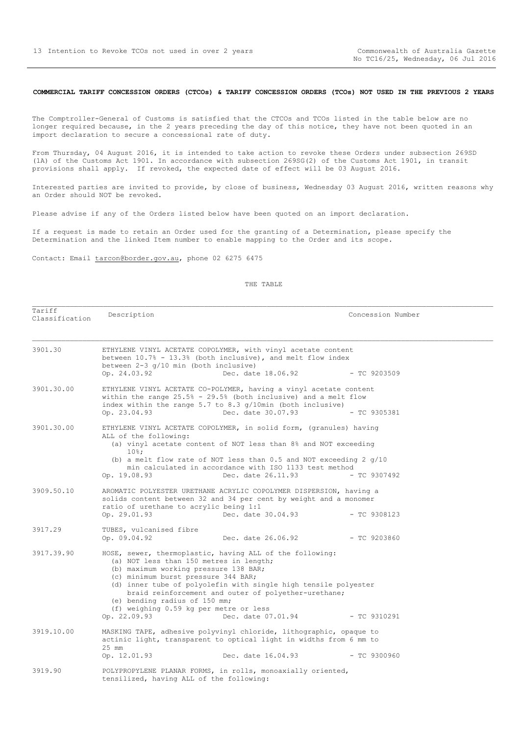#### <span id="page-12-0"></span>**COMMERCIAL TARIFF CONCESSION ORDERS (CTCOs) & TARIFF CONCESSION ORDERS (TCOs) NOT USED IN THE PREVIOUS 2 YEARS**

The Comptroller-General of Customs is satisfied that the CTCOs and TCOs listed in the table below are no longer required because, in the 2 years preceding the day of this notice, they have not been quoted in an import declaration to secure a concessional rate of duty.

From Thursday, 04 August 2016, it is intended to take action to revoke these Orders under subsection 269SD (1A) of the Customs Act 1901. In accordance with subsection 269SG(2) of the Customs Act 1901, in transit provisions shall apply. If revoked, the expected date of effect will be 03 August 2016.

Interested parties are invited to provide, by close of business, Wednesday 03 August 2016, written reasons why an Order should NOT be revoked.

Please advise if any of the Orders listed below have been quoted on an import declaration.

Classification Description Concession Number

If a request is made to retain an Order used for the granting of a Determination, please specify the Determination and the linked Item number to enable mapping to the Order and its scope.

Contact: Email tarcon@border.gov.au, phone 02 6275 6475

Tariff

#### THE TABLE

| 3901.30    | ETHYLENE VINYL ACETATE COPOLYMER, with vinyl acetate content<br>between 10.7% - 13.3% (both inclusive), and melt flow index<br>between 2-3 q/10 min (both inclusive)<br>Op. 24.03.92<br>Dec. date 18.06.92                                                                                                                                                                                                                      | $-$ TC 9203509 |  |
|------------|---------------------------------------------------------------------------------------------------------------------------------------------------------------------------------------------------------------------------------------------------------------------------------------------------------------------------------------------------------------------------------------------------------------------------------|----------------|--|
| 3901.30.00 | ETHYLENE VINYL ACETATE CO-POLYMER, having a vinyl acetate content<br>within the range 25.5% - 29.5% (both inclusive) and a melt flow<br>index within the range 5.7 to 8.3 $q/10$ min (both inclusive)<br>Dec. date 30.07.93<br>Op. 23.04.93                                                                                                                                                                                     | $-$ TC 9305381 |  |
| 3901.30.00 | ETHYLENE VINYL ACETATE COPOLYMER, in solid form, (granules) having<br>ALL of the following:<br>(a) vinyl acetate content of NOT less than 8% and NOT exceeding<br>$10\%$ ;<br>(b) a melt flow rate of NOT less than $0.5$ and NOT exceeding 2 $q/10$<br>min calculated in accordance with ISO 1133 test method<br>Dec. date 26.11.93<br>Op. 19.08.93                                                                            | $-$ TC 9307492 |  |
| 3909.50.10 | AROMATIC POLYESTER URETHANE ACRYLIC COPOLYMER DISPERSION, having a<br>solids content between 32 and 34 per cent by weight and a monomer<br>ratio of urethane to acrylic being 1:1<br>Dec. date 30.04.93<br>Op. 29.01.93                                                                                                                                                                                                         | $-$ TC 9308123 |  |
| 3917.29    | TUBES, vulcanised fibre<br>Op. 09.04.92<br>Dec. date 26.06.92                                                                                                                                                                                                                                                                                                                                                                   | $-$ TC 9203860 |  |
| 3917.39.90 | HOSE, sewer, thermoplastic, having ALL of the following:<br>(a) NOT less than 150 metres in length;<br>(b) maximum working pressure 138 BAR;<br>(c) minimum burst pressure 344 BAR;<br>(d) inner tube of polyolefin with single high tensile polyester<br>braid reinforcement and outer of polyether-urethane;<br>(e) bending radius of 150 mm;<br>(f) weighing 0.59 kg per metre or less<br>Op. 22.09.93<br>Dec. date 07.01.94 | $-$ TC 9310291 |  |
| 3919.10.00 | MASKING TAPE, adhesive polyvinyl chloride, lithographic, opaque to<br>actinic light, transparent to optical light in widths from 6 mm to<br>25 mm<br>Op. 12.01.93<br>Dec. date 16.04.93                                                                                                                                                                                                                                         | $-$ TC 9300960 |  |
| 3919.90    | POLYPROPYLENE PLANAR FORMS, in rolls, monoaxially oriented,<br>tensilized, having ALL of the following:                                                                                                                                                                                                                                                                                                                         |                |  |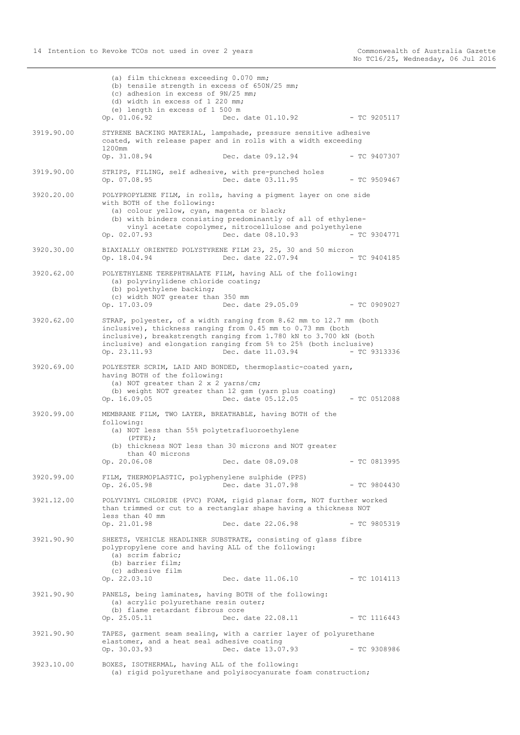|            | (a) film thickness exceeding 0.070 mm;<br>(b) tensile strength in excess of 650N/25 mm;<br>(c) adhesion in excess of 9N/25 mm;<br>(d) width in excess of 1 220 mm;<br>(e) length in excess of 1 500 m<br>Op. 01.06.92<br>Dec. date 01.10.92 - TC 9205117                                                                              |
|------------|---------------------------------------------------------------------------------------------------------------------------------------------------------------------------------------------------------------------------------------------------------------------------------------------------------------------------------------|
| 3919.90.00 | STYRENE BACKING MATERIAL, lampshade, pressure sensitive adhesive<br>coated, with release paper and in rolls with a width exceeding                                                                                                                                                                                                    |
|            | 1200mm<br>Op. 31.08.94<br>Dec. date 09.12.94<br>$-$ TC 9407307                                                                                                                                                                                                                                                                        |
| 3919.90.00 | STRIPS, FILING, self adhesive, with pre-punched holes<br>Op. 07.08.95<br>Dec. date 03.11.95<br>$-$ TC 9509467                                                                                                                                                                                                                         |
| 3920.20.00 | POLYPROPYLENE FILM, in rolls, having a pigment layer on one side<br>with BOTH of the following:<br>(a) colour yellow, cyan, magenta or black;<br>(b) with binders consisting predominantly of all of ethylene-<br>vinyl acetate copolymer, nitrocellulose and polyethylene<br>Op. 02.07.93<br>Dec. date 08.10.93<br>- TC 9304771      |
| 3920.30.00 | BIAXIALLY ORIENTED POLYSTYRENE FILM 23, 25, 30 and 50 micron<br>Op. 18.04.94<br>Dec. date 22.07.94<br>$-$ TC 9404185                                                                                                                                                                                                                  |
| 3920.62.00 | POLYETHYLENE TEREPHTHALATE FILM, having ALL of the following:<br>(a) polyvinylidene chloride coating;<br>(b) polyethylene backing;<br>(c) width NOT greater than 350 mm<br>Dec. date 29.05.09<br>$-$ TC 0909027<br>Op. 17.03.09                                                                                                       |
| 3920.62.00 | STRAP, polyester, of a width ranging from 8.62 mm to 12.7 mm (both<br>inclusive), thickness ranging from $0.45$ mm to $0.73$ mm (both<br>inclusive), breakstrength ranging from 1.780 kN to 3.700 kN (both<br>inclusive) and elongation ranging from 5% to 25% (both inclusive)<br>Op. 23.11.93<br>Dec. date 11.03.94<br>- TC 9313336 |
| 3920.69.00 | POLYESTER SCRIM, LAID AND BONDED, thermoplastic-coated yarn,<br>having BOTH of the following:<br>(a) NOT greater than 2 x 2 yarns/cm;<br>(b) weight NOT greater than 12 gsm (yarn plus coating)<br>Op. 16.09.05<br>Dec. date 05.12.05<br>$-$ TC 0512088                                                                               |
| 3920.99.00 | MEMBRANE FILM, TWO LAYER, BREATHABLE, having BOTH of the<br>following:<br>(a) NOT less than 55% polytetrafluoroethylene<br>$(PTFE)$ ;<br>(b) thickness NOT less than 30 microns and NOT greater<br>than 40 microns<br>Op. 20.06.08<br>Dec. date 08.09.08<br>$-$ TC 0813995                                                            |
| 3920.99.00 | FILM, THERMOPLASTIC, polyphenylene sulphide (PPS)<br>Op. 26.05.98<br>Dec. date 31.07.98<br>$-$ TC 9804430                                                                                                                                                                                                                             |
| 3921.12.00 | POLYVINYL CHLORIDE (PVC) FOAM, rigid planar form, NOT further worked<br>than trimmed or cut to a rectanglar shape having a thickness NOT<br>less than 40 mm                                                                                                                                                                           |
|            | Op. 21.01.98<br>Dec. date 22.06.98<br>$-$ TC 9805319                                                                                                                                                                                                                                                                                  |
| 3921.90.90 | SHEETS, VEHICLE HEADLINER SUBSTRATE, consisting of glass fibre<br>polypropylene core and having ALL of the following:<br>(a) scrim fabric;<br>(b) barrier film;<br>(c) adhesive film<br>Op. 22.03.10<br>Dec. date 11.06.10<br>$-$ TC 1014113                                                                                          |
| 3921.90.90 | PANELS, being laminates, having BOTH of the following:<br>(a) acrylic polyurethane resin outer;<br>(b) flame retardant fibrous core                                                                                                                                                                                                   |
|            | Op. 25.05.11<br>Dec. date 22.08.11<br>$-$ TC 1116443                                                                                                                                                                                                                                                                                  |
| 3921.90.90 | TAPES, garment seam sealing, with a carrier layer of polyurethane<br>elastomer, and a heat seal adhesive coating<br>$-$ TC 9308986<br>Op. 30.03.93<br>Dec. date 13.07.93                                                                                                                                                              |
| 3923.10.00 | BOXES, ISOTHERMAL, having ALL of the following:<br>(a) rigid polyurethane and polyisocyanurate foam construction;                                                                                                                                                                                                                     |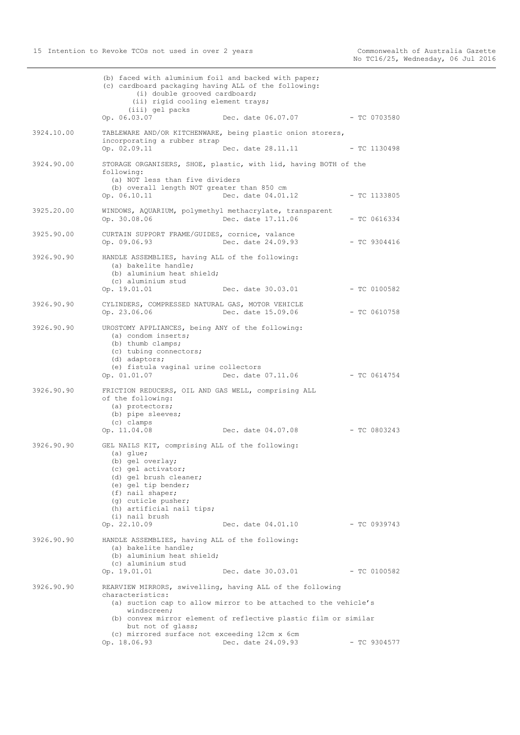|            | (b) faced with aluminium foil and backed with paper;<br>(c) cardboard packaging having ALL of the following:<br>(i) double grooved cardboard;<br>(ii) rigid cooling element trays;                                                                                  |                                                                                                                                                                                                                       |                |
|------------|---------------------------------------------------------------------------------------------------------------------------------------------------------------------------------------------------------------------------------------------------------------------|-----------------------------------------------------------------------------------------------------------------------------------------------------------------------------------------------------------------------|----------------|
|            | (iii) gel packs<br>Op. 06.03.07                                                                                                                                                                                                                                     | Dec. date 06.07.07                                                                                                                                                                                                    | $-TC$ 0703580  |
| 3924.10.00 | incorporating a rubber strap                                                                                                                                                                                                                                        | TABLEWARE AND/OR KITCHENWARE, being plastic onion storers,                                                                                                                                                            |                |
|            | Op. 02.09.11                                                                                                                                                                                                                                                        | Dec. date 28.11.11 - TC 1130498                                                                                                                                                                                       |                |
| 3924.90.00 | following:<br>(a) NOT less than five dividers<br>(b) overall length NOT greater than 850 cm<br>Op. 06.10.11                                                                                                                                                         | STORAGE ORGANISERS, SHOE, plastic, with lid, having BOTH of the<br>Dec. date 04.01.12                                                                                                                                 | $-$ TC 1133805 |
| 3925.20.00 | WINDOWS, AQUARIUM, polymethyl methacrylate, transparent<br>Op. 30.08.06                                                                                                                                                                                             | Dec. date 17.11.06                                                                                                                                                                                                    | $-$ TC 0616334 |
| 3925.90.00 | CURTAIN SUPPORT FRAME/GUIDES, cornice, valance<br>Op. 09.06.93                                                                                                                                                                                                      | Dec. date 24.09.93                                                                                                                                                                                                    | $-$ TC 9304416 |
| 3926.90.90 | HANDLE ASSEMBLIES, having ALL of the following:<br>(a) bakelite handle;<br>(b) aluminium heat shield;<br>(c) aluminium stud<br>Op. 19.01.01                                                                                                                         | Dec. date 30.03.01                                                                                                                                                                                                    | $-$ TC 0100582 |
| 3926.90.90 | CYLINDERS, COMPRESSED NATURAL GAS, MOTOR VEHICLE<br>Op. 23.06.06                                                                                                                                                                                                    | Dec. date 15.09.06                                                                                                                                                                                                    | $-$ TC 0610758 |
| 3926.90.90 | UROSTOMY APPLIANCES, being ANY of the following:<br>(a) condom inserts;<br>(b) thumb clamps;<br>(c) tubing connectors;<br>(d) adaptors;<br>(e) fistula vaginal urine collectors<br>Op. 01.01.07                                                                     | Dec. date 07.11.06                                                                                                                                                                                                    | - TC 0614754   |
| 3926.90.90 | FRICTION REDUCERS, OIL AND GAS WELL, comprising ALL<br>of the following:<br>(a) protectors;<br>(b) pipe sleeves;<br>(c) clamps<br>Op. 11.04.08                                                                                                                      | Dec. date 04.07.08                                                                                                                                                                                                    | $-$ TC 0803243 |
| 3926.90.90 | GEL NAILS KIT, comprising ALL of the following:<br>$(a)$ glue;<br>(b) gel overlay;<br>(c) gel activator;<br>(d) gel brush cleaner;<br>(e) gel tip bender;<br>(f) nail shaper;<br>(g) cuticle pusher;<br>(h) artificial nail tips;<br>(i) nail brush<br>Op. 22.10.09 | Dec. date 04.01.10                                                                                                                                                                                                    | $-$ TC 0939743 |
| 3926.90.90 | HANDLE ASSEMBLIES, having ALL of the following:<br>(a) bakelite handle;<br>(b) aluminium heat shield;<br>(c) aluminium stud<br>Op. 19.01.01                                                                                                                         | Dec. date 30.03.01                                                                                                                                                                                                    | $-$ TC 0100582 |
| 3926.90.90 | characteristics:<br>windscreen;<br>but not of glass;<br>(c) mirrored surface not exceeding 12cm x 6cm<br>Op. 18.06.93                                                                                                                                               | REARVIEW MIRRORS, swivelling, having ALL of the following<br>(a) suction cap to allow mirror to be attached to the vehicle's<br>(b) convex mirror element of reflective plastic film or similar<br>Dec. date 24.09.93 | $-$ TC 9304577 |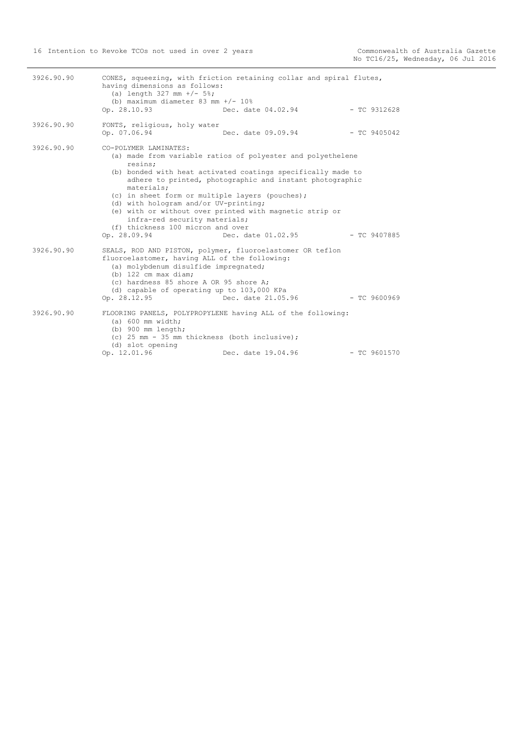| 3926.90.90 | having dimensions as follows:<br>(a) length $327$ mm $+/$ - $5\%$ ;<br>(b) maximum diameter 83 mm $+/- 10$ %<br>Op. 28.10.93                                                                                                     | CONES, squeezing, with friction retaining collar and spiral flutes,<br>Dec. date 04.02.94                                                                                                                                                                                | - TC 9312628   |
|------------|----------------------------------------------------------------------------------------------------------------------------------------------------------------------------------------------------------------------------------|--------------------------------------------------------------------------------------------------------------------------------------------------------------------------------------------------------------------------------------------------------------------------|----------------|
| 3926.90.90 | FONTS, religious, holy water<br>Op. 07.06.94                                                                                                                                                                                     | Dec. date 09.09.94                                                                                                                                                                                                                                                       | $-$ TC 9405042 |
| 3926.90.90 | CO-POLYMER LAMINATES:<br>resins;<br>materials;<br>(c) in sheet form or multiple layers (pouches);<br>(d) with hologram and/or UV-printing;<br>infra-red security materials;<br>(f) thickness 100 micron and over<br>Op. 28.09.94 | (a) made from variable ratios of polyester and polyethelene<br>(b) bonded with heat activated coatings specifically made to<br>adhere to printed, photographic and instant photographic<br>(e) with or without over printed with magnetic strip or<br>Dec. date 01.02.95 | $-$ TC 9407885 |
| 3926.90.90 | fluoroelastomer, having ALL of the following:<br>(a) molybdenum disulfide impregnated;<br>$(b)$ 122 cm max diam;<br>(c) hardness 85 shore A OR 95 shore A;<br>(d) capable of operating up to 103,000 KPa<br>Op. 28.12.95         | SEALS, ROD AND PISTON, polymer, fluoroelastomer OR teflon<br>Dec. date 21.05.96                                                                                                                                                                                          | - TC 9600969   |
| 3926.90.90 | $(a) 600$ mm width;<br>$(b)$ 900 mm length;<br>(c) 25 mm - 35 mm thickness (both inclusive);<br>(d) slot opening<br>Op. 12.01.96                                                                                                 | FLOORING PANELS, POLYPROPYLENE having ALL of the following:<br>Dec. date 19.04.96                                                                                                                                                                                        | $-$ TC 9601570 |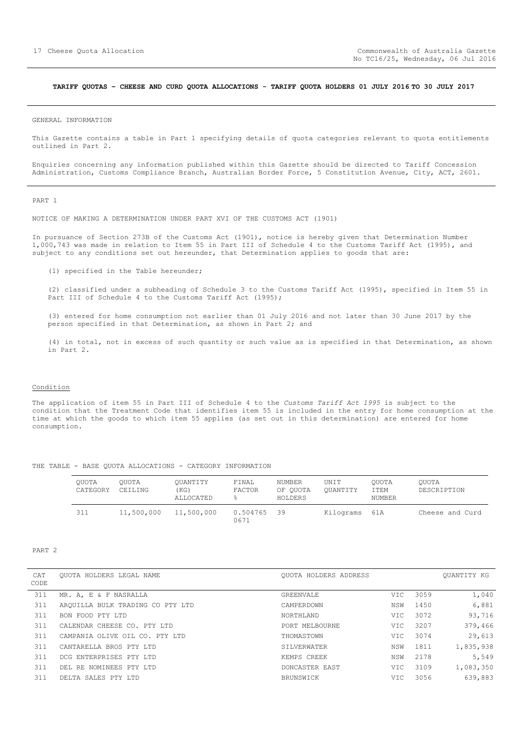#### <span id="page-16-0"></span>**TARIFF QUOTAS – CHEESE AND CURD QUOTA ALLOCATIONS - TARIFF QUOTA HOLDERS 01 JULY 2016 TO 30 JULY 2017**

GENERAL INFORMATION

This Gazette contains a table in Part 1 specifying details of quota categories relevant to quota entitlements outlined in Part 2.

Enquiries concerning any information published within this Gazette should be directed to Tariff Concession Administration, Customs Compliance Branch, Australian Border Force, 5 Constitution Avenue, City, ACT, 2601.

PART 1

NOTICE OF MAKING A DETERMINATION UNDER PART XVI OF THE CUSTOMS ACT (1901)

In pursuance of Section 273B of the Customs Act (1901), notice is hereby given that Determination Number 1,000,743 was made in relation to Item 55 in Part III of Schedule 4 to the Customs Tariff Act (1995), and subject to any conditions set out hereunder, that Determination applies to goods that are:

(1) specified in the Table hereunder;

(2) classified under a subheading of Schedule 3 to the Customs Tariff Act (1995), specified in Item 55 in Part III of Schedule 4 to the Customs Tariff Act (1995);

(3) entered for home consumption not earlier than 01 July 2016 and not later than 30 June 2017 by the person specified in that Determination, as shown in Part 2; and

(4) in total, not in excess of such quantity or such value as is specified in that Determination, as shown in Part 2.

#### Condition

The application of item 55 in Part III of Schedule 4 to the *Customs Tariff Act 1995* is subject to the condition that the Treatment Code that identifies item 55 is included in the entry for home consumption at the time at which the goods to which item 55 applies (as set out in this determination) are entered for home consumption.

|  |  | THE TABLE - BASE QUOTA ALLOCATIONS - CATEGORY INFORMATION |  |  |
|--|--|-----------------------------------------------------------|--|--|
|  |  |                                                           |  |  |

| OUOTA<br>CATEGORY | OUOTA<br>CEILING | OUANTITY<br>(KG)<br>ALLOCATED | FINAL<br>FACTOR<br>昙 | NUMBER<br>OF OUOTA<br>HOLDERS | UNIT<br>OUANTITY | OUOTA<br>ITEM<br>NUMBER | OUOTA<br>DESCRIPTION |
|-------------------|------------------|-------------------------------|----------------------|-------------------------------|------------------|-------------------------|----------------------|
| 311               | 11,500,000       | 11,500,000                    | 0.504765<br>0671     | 39                            | Kilograms 61A    |                         | Cheese and Curd      |

#### PART 2

| CAT<br>CODE | OUOTA HOLDERS LEGAL NAME         | OUOTA HOLDERS ADDRESS |      |      | OUANTITY KG |
|-------------|----------------------------------|-----------------------|------|------|-------------|
| 311         | MR. A, E & F NASRALLA            | GREENVALE             | VIC. | 3059 | 1,040       |
| 311         | AROUILLA BULK TRADING CO PTY LTD | CAMPERDOWN            | NSW  | 1450 | 6,881       |
| 311         | BON FOOD PTY LTD                 | NORTHLAND             | VIC. | 3072 | 93,716      |
| 311         | CALENDAR CHEESE CO. PTY LTD      | PORT MELBOURNE        | VIC. | 3207 | 379,466     |
| 311         | CAMPANIA OLIVE OIL CO. PTY LTD   | THOMASTOWN            | VIC. | 3074 | 29,613      |
| 311         | CANTARELLA BROS PTY LTD          | SILVERWATER           | NSW  | 1811 | 1,835,938   |
| 311         | DCG ENTERPRISES PTY LTD          | KEMPS CREEK           | NSW  | 2178 | 5,549       |
| 311         | DEL RE NOMINEES PTY LTD          | DONCASTER EAST        | VIC. | 3109 | 1,083,350   |
| 311         | DELTA SALES PTY LTD              | BRUNSWICK             | VIC  | 3056 | 639,883     |